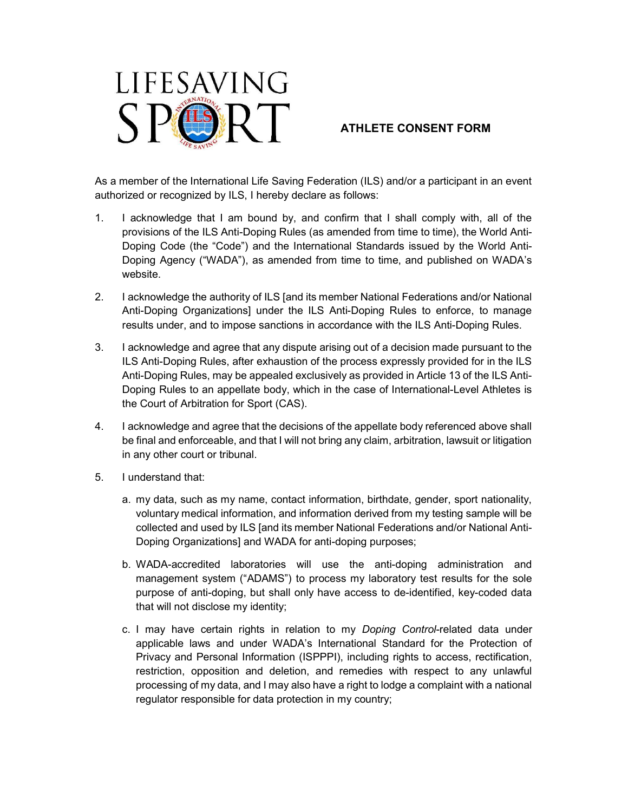

## ATHLETE CONSENT FORM

As a member of the International Life Saving Federation (ILS) and/or a participant in an event authorized or recognized by ILS, I hereby declare as follows:

- 1. I acknowledge that I am bound by, and confirm that I shall comply with, all of the provisions of the ILS Anti-Doping Rules (as amended from time to time), the World Anti-Doping Code (the "Code") and the International Standards issued by the World Anti-Doping Agency ("WADA"), as amended from time to time, and published on WADA's website.
- 2. I acknowledge the authority of ILS [and its member National Federations and/or National Anti-Doping Organizations] under the ILS Anti-Doping Rules to enforce, to manage results under, and to impose sanctions in accordance with the ILS Anti-Doping Rules.
- 3. I acknowledge and agree that any dispute arising out of a decision made pursuant to the ILS Anti-Doping Rules, after exhaustion of the process expressly provided for in the ILS Anti-Doping Rules, may be appealed exclusively as provided in Article 13 of the ILS Anti-Doping Rules to an appellate body, which in the case of International-Level Athletes is the Court of Arbitration for Sport (CAS).
- 4. I acknowledge and agree that the decisions of the appellate body referenced above shall be final and enforceable, and that I will not bring any claim, arbitration, lawsuit or litigation in any other court or tribunal.
- 5. I understand that:
	- a. my data, such as my name, contact information, birthdate, gender, sport nationality, voluntary medical information, and information derived from my testing sample will be collected and used by ILS [and its member National Federations and/or National Anti-Doping Organizations] and WADA for anti-doping purposes;
	- b. WADA-accredited laboratories will use the anti-doping administration and management system ("ADAMS") to process my laboratory test results for the sole purpose of anti-doping, but shall only have access to de-identified, key-coded data that will not disclose my identity;
	- c. I may have certain rights in relation to my Doping Control-related data under applicable laws and under WADA's International Standard for the Protection of Privacy and Personal Information (ISPPPI), including rights to access, rectification, restriction, opposition and deletion, and remedies with respect to any unlawful processing of my data, and I may also have a right to lodge a complaint with a national regulator responsible for data protection in my country;